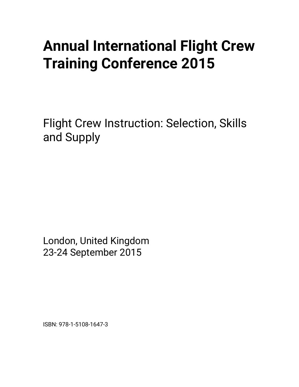## **Annual International Flight Crew Training Conference 2015**

Flight Crew Instruction: Selection, Skills and Supply

London, United Kingdom 23-24 September 2015

ISBN: 978-1-5108-1647-3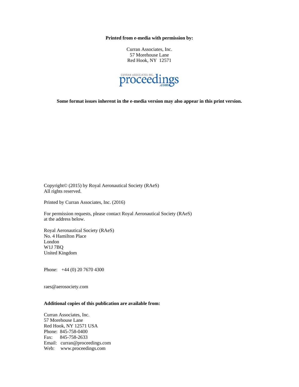**Printed from e-media with permission by:** 

Curran Associates, Inc. 57 Morehouse Lane Red Hook, NY 12571



**Some format issues inherent in the e-media version may also appear in this print version.** 

Copyright© (2015) by Royal Aeronautical Society (RAeS) All rights reserved.

Printed by Curran Associates, Inc. (2016)

For permission requests, please contact Royal Aeronautical Society (RAeS) at the address below.

Royal Aeronautical Society (RAeS) No. 4 Hamilton Place London W1J 7BQ United Kingdom

Phone: +44 (0) 20 7670 4300

raes@aerosociety.com

## **Additional copies of this publication are available from:**

Curran Associates, Inc. 57 Morehouse Lane Red Hook, NY 12571 USA Phone: 845-758-0400 Fax: 845-758-2633 Email: curran@proceedings.com Web: www.proceedings.com